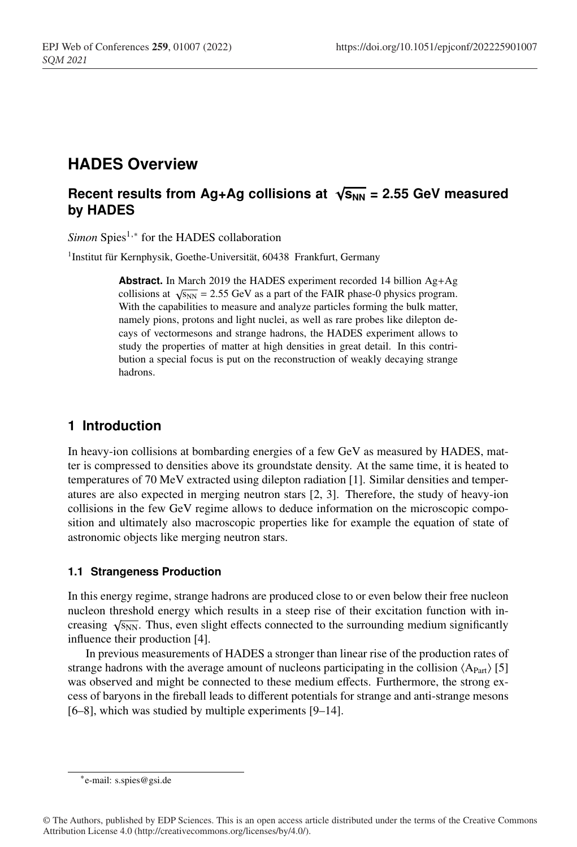# **HADES Overview**

## **Recent results from Ag+Ag collisions at**  $\sqrt{s_{NN}}$  **= 2.55 GeV measured by HADES**

*Simon* Spies<sup>1,∗</sup> for the HADES collaboration

<sup>1</sup>Institut für Kernphysik, Goethe-Universität, 60438 Frankfurt, Germany

**Abstract.** In March 2019 the HADES experiment recorded 14 billion Ag+Ag collisions at  $\sqrt{s_{NN}}$  = 2.55 GeV as a part of the FAIR phase-0 physics program. With the capabilities to measure and analyze particles forming the bulk matter, namely pions, protons and light nuclei, as well as rare probes like dilepton decays of vectormesons and strange hadrons, the HADES experiment allows to study the properties of matter at high densities in great detail. In this contribution a special focus is put on the reconstruction of weakly decaying strange hadrons.

### **1 Introduction**

In heavy-ion collisions at bombarding energies of a few GeV as measured by HADES, matter is compressed to densities above its groundstate density. At the same time, it is heated to temperatures of 70 MeV extracted using dilepton radiation [1]. Similar densities and temperatures are also expected in merging neutron stars [2, 3]. Therefore, the study of heavy-ion collisions in the few GeV regime allows to deduce information on the microscopic composition and ultimately also macroscopic properties like for example the equation of state of astronomic objects like merging neutron stars.

#### **1.1 Strangeness Production**

In this energy regime, strange hadrons are produced close to or even below their free nucleon nucleon threshold energy which results in a steep rise of their excitation function with increasing  $\sqrt{s_{NN}}$ . Thus, even slight effects connected to the surrounding medium significantly influence their production [4].

In previous measurements of HADES a stronger than linear rise of the production rates of strange hadrons with the average amount of nucleons participating in the collision  $\langle A_{Part} \rangle$  [5] was observed and might be connected to these medium effects. Furthermore, the strong excess of baryons in the fireball leads to different potentials for strange and anti-strange mesons [6–8], which was studied by multiple experiments [9–14].

<sup>∗</sup>e-mail: s.spies@gsi.de

<sup>©</sup> The Authors, published by EDP Sciences. This is an open access article distributed under the terms of the Creative Commons Attribution License 4.0 (http://creativecommons.org/licenses/by/4.0/).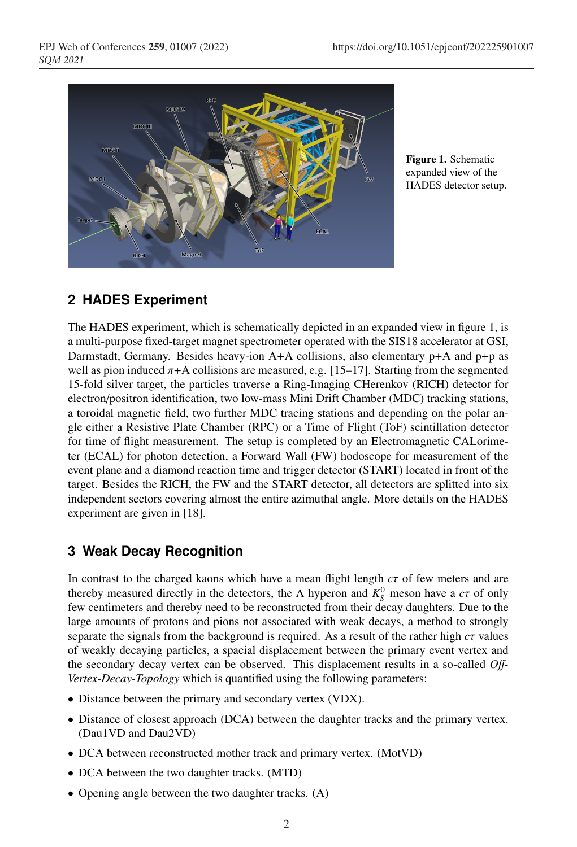

Figure 1. Schematic expanded view of the HADES detector setup.

### **2 HADES Experiment**

The HADES experiment, which is schematically depicted in an expanded view in figure 1, is a multi-purpose fixed-target magnet spectrometer operated with the SIS18 accelerator at GSI, Darmstadt, Germany. Besides heavy-ion  $A+A$  collisions, also elementary  $p+A$  and  $p+p$  as well as pion induced  $\pi$ +A collisions are measured, e.g. [15–17]. Starting from the segmented 15-fold silver target, the particles traverse a Ring-Imaging CHerenkov (RICH) detector for electron/positron identification, two low-mass Mini Drift Chamber (MDC) tracking stations, a toroidal magnetic field, two further MDC tracing stations and depending on the polar angle either a Resistive Plate Chamber (RPC) or a Time of Flight (ToF) scintillation detector for time of flight measurement. The setup is completed by an Electromagnetic CALorimeter (ECAL) for photon detection, a Forward Wall (FW) hodoscope for measurement of the event plane and a diamond reaction time and trigger detector (START) located in front of the target. Besides the RICH, the FW and the START detector, all detectors are splitted into six independent sectors covering almost the entire azimuthal angle. More details on the HADES experiment are given in [18].

### **3 Weak Decay Recognition**

In contrast to the charged kaons which have a mean flight length *c*τ of few meters and are thereby measured directly in the detectors, the  $\Lambda$  hyperon and  $K_S^0$  meson have a  $c\tau$  of only few centimeters and thereby need to be reconstructed from their decay daughters. Due to the large amounts of protons and pions not associated with weak decays, a method to strongly separate the signals from the background is required. As a result of the rather high  $c\tau$  values of weakly decaying particles, a spacial displacement between the primary event vertex and the secondary decay vertex can be observed. This displacement results in a so-called *O*ff*-Vertex-Decay-Topology* which is quantified using the following parameters:

- Distance between the primary and secondary vertex (VDX).
- Distance of closest approach (DCA) between the daughter tracks and the primary vertex. (Dau1VD and Dau2VD)
- DCA between reconstructed mother track and primary vertex. (MotVD)
- DCA between the two daughter tracks. (MTD)
- Opening angle between the two daughter tracks. (A)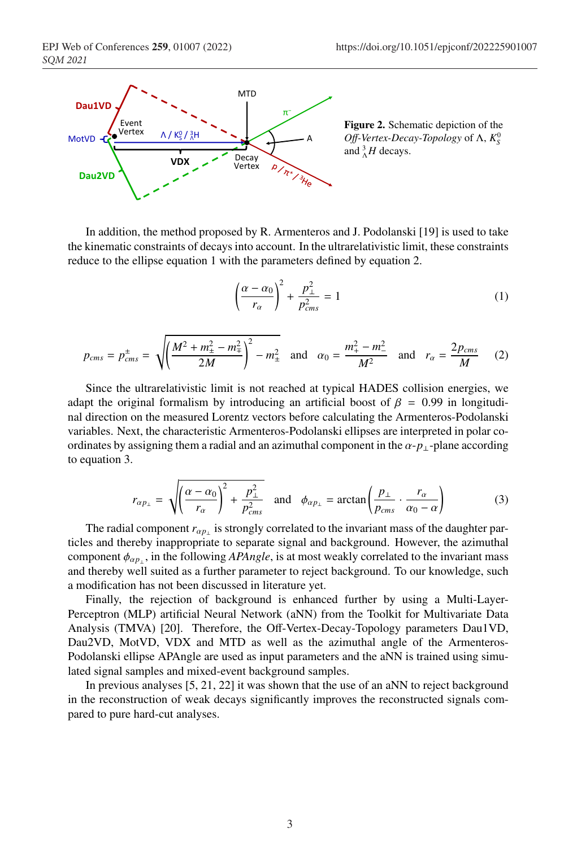

Figure 2. Schematic depiction of the *Off-Vertex-Decay-Topology* of Λ,  $K_S^0$ and  $^{3}_{\Lambda}H$  decays.

In addition, the method proposed by R. Armenteros and J. Podolanski [19] is used to take the kinematic constraints of decays into account. In the ultrarelativistic limit, these constraints reduce to the ellipse equation 1 with the parameters defined by equation 2.

$$
\left(\frac{\alpha - \alpha_0}{r_\alpha}\right)^2 + \frac{p_\perp^2}{p_{cms}^2} = 1\tag{1}
$$

$$
p_{cms} = p_{cms}^{\pm} = \sqrt{\left(\frac{M^2 + m_{\pm}^2 - m_{\mp}^2}{2M}\right)^2 - m_{\pm}^2} \quad \text{and} \quad \alpha_0 = \frac{m_{+}^2 - m_{-}^2}{M^2} \quad \text{and} \quad r_{\alpha} = \frac{2p_{cms}}{M} \tag{2}
$$

Since the ultrarelativistic limit is not reached at typical HADES collision energies, we adapt the original formalism by introducing an artificial boost of  $\beta = 0.99$  in longitudinal direction on the measured Lorentz vectors before calculating the Armenteros-Podolanski variables. Next, the characteristic Armenteros-Podolanski ellipses are interpreted in polar coordinates by assigning them a radial and an azimuthal component in the  $\alpha$ - $p_{\perp}$ -plane according to equation 3.

$$
r_{\alpha p_{\perp}} = \sqrt{\left(\frac{\alpha - \alpha_0}{r_{\alpha}}\right)^2 + \frac{p_{\perp}^2}{p_{cms}^2}} \quad \text{and} \quad \phi_{\alpha p_{\perp}} = \arctan\left(\frac{p_{\perp}}{p_{cms}} \cdot \frac{r_{\alpha}}{\alpha_0 - \alpha}\right) \tag{3}
$$

The radial component  $r_{\alpha p_{\perp}}$  is strongly correlated to the invariant mass of the daughter particles and thereby inappropriate to separate signal and background. However, the azimuthal component  $\phi_{\alpha p}$ , in the following *APAngle*, is at most weakly correlated to the invariant mass and thereby well suited as a further parameter to reject background. To our knowledge, such a modification has not been discussed in literature yet.

Finally, the rejection of background is enhanced further by using a Multi-Layer-Perceptron (MLP) artificial Neural Network (aNN) from the Toolkit for Multivariate Data Analysis (TMVA) [20]. Therefore, the Off-Vertex-Decay-Topology parameters Dau1VD, Dau2VD, MotVD, VDX and MTD as well as the azimuthal angle of the Armenteros-Podolanski ellipse APAngle are used as input parameters and the aNN is trained using simulated signal samples and mixed-event background samples.

In previous analyses [5, 21, 22] it was shown that the use of an aNN to reject background in the reconstruction of weak decays significantly improves the reconstructed signals compared to pure hard-cut analyses.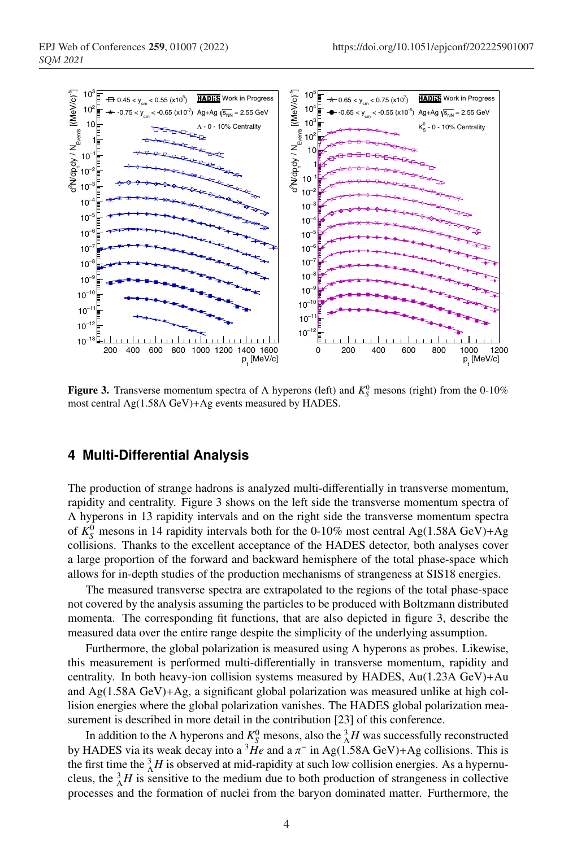

**Figure 3.** Transverse momentum spectra of  $\Lambda$  hyperons (left) and  $K_S^0$  mesons (right) from the 0-10% most central Ag(1.58A GeV)+Ag events measured by HADES.

#### **4 Multi-Differential Analysis**

The production of strange hadrons is analyzed multi-differentially in transverse momentum, rapidity and centrality. Figure 3 shows on the left side the transverse momentum spectra of Λ hyperons in 13 rapidity intervals and on the right side the transverse momentum spectra of  $K_S^0$  mesons in 14 rapidity intervals both for the 0-10% most central Ag(1.58A GeV)+Ag collisions. Thanks to the excellent acceptance of the HADES detector, both analyses cover a large proportion of the forward and backward hemisphere of the total phase-space which allows for in-depth studies of the production mechanisms of strangeness at SIS18 energies.

The measured transverse spectra are extrapolated to the regions of the total phase-space not covered by the analysis assuming the particles to be produced with Boltzmann distributed momenta. The corresponding fit functions, that are also depicted in figure 3, describe the measured data over the entire range despite the simplicity of the underlying assumption.

Furthermore, the global polarization is measured using  $\Lambda$  hyperons as probes. Likewise, this measurement is performed multi-differentially in transverse momentum, rapidity and centrality. In both heavy-ion collision systems measured by HADES, Au(1.23A GeV)+Au and Ag(1.58A GeV)+Ag, a significant global polarization was measured unlike at high collision energies where the global polarization vanishes. The HADES global polarization measurement is described in more detail in the contribution [23] of this conference.

In addition to the  $\Lambda$  hyperons and  $K_S^0$  mesons, also the  ${}^3_\Lambda H$  was successfully reconstructed by HADES via its weak decay into a <sup>3</sup>He and a  $\pi$ <sup>-</sup> in Ag(1.58A GeV)+Ag collisions. This is the first time the  ${}^{3}_{\Lambda}H$  is observed at mid-rapidity at such low collision energies. As a hypernucleus, the  ${}^3_\Lambda H$  is sensitive to the medium due to both production of strangeness in collective processes and the formation of nuclei from the baryon dominated matter. Furthermore, the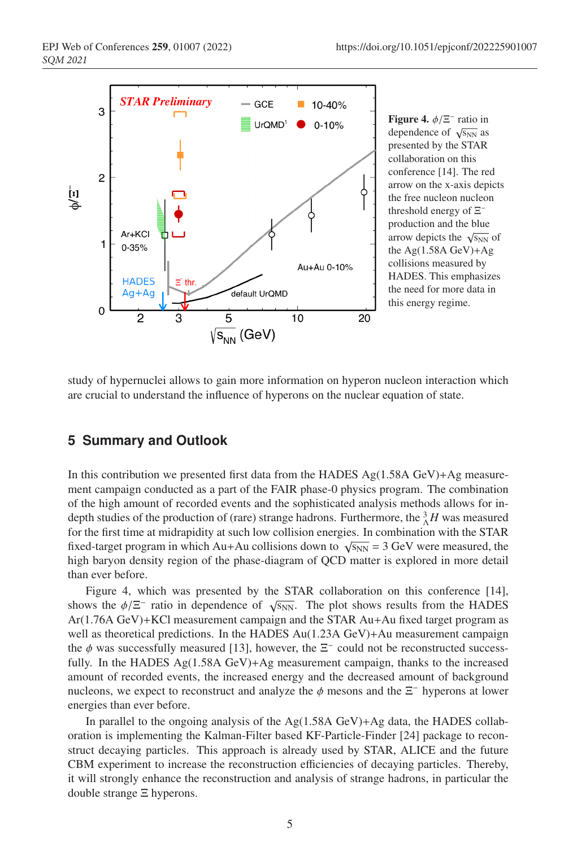

Figure 4.  $\phi/\Xi^-$  ratio in dependence of  $\sqrt{s_{NN}}$  as presented by the STAR collaboration on this conference [14]. The red arrow on the x-axis depicts the free nucleon nucleon threshold energy of Ξ<sup>−</sup> production and the blue arrow depicts the  $\sqrt{s_{NN}}$  of the Ag(1.58A GeV)+Ag collisions measured by HADES. This emphasizes the need for more data in this energy regime.

study of hypernuclei allows to gain more information on hyperon nucleon interaction which are crucial to understand the influence of hyperons on the nuclear equation of state.

#### **5 Summary and Outlook**

In this contribution we presented first data from the HADES Ag $(1.58A \text{ GeV})+Ag$  measurement campaign conducted as a part of the FAIR phase-0 physics program. The combination of the high amount of recorded events and the sophisticated analysis methods allows for indepth studies of the production of (rare) strange hadrons. Furthermore, the  $^3_\Lambda H$  was measured for the first time at midrapidity at such low collision energies. In combination with the STAR fixed-target program in which Au+Au collisions down to  $\sqrt{s_{NN}}$  = 3 GeV were measured, the high baryon density region of the phase-diagram of QCD matter is explored in more detail than ever before.

Figure 4, which was presented by the STAR collaboration on this conference [14], shows the  $\phi/\Xi^-$  ratio in dependence of  $\sqrt{s_{NN}}$ . The plot shows results from the HADES Ar(1.76A GeV)+KCl measurement campaign and the STAR Au+Au fixed target program as well as theoretical predictions. In the HADES Au(1.23A GeV)+Au measurement campaign the  $\phi$  was successfully measured [13], however, the  $\Xi^-$  could not be reconstructed successfully. In the HADES  $Ag(1.58A \text{ GeV})+Ag$  measurement campaign, thanks to the increased amount of recorded events, the increased energy and the decreased amount of background nucleons, we expect to reconstruct and analyze the  $\phi$  mesons and the  $\Xi^-$  hyperons at lower energies than ever before.

In parallel to the ongoing analysis of the Ag $(1.58A \text{ GeV})+Ag$  data, the HADES collaboration is implementing the Kalman-Filter based KF-Particle-Finder [24] package to reconstruct decaying particles. This approach is already used by STAR, ALICE and the future CBM experiment to increase the reconstruction efficiencies of decaying particles. Thereby, it will strongly enhance the reconstruction and analysis of strange hadrons, in particular the double strange Ξ hyperons.